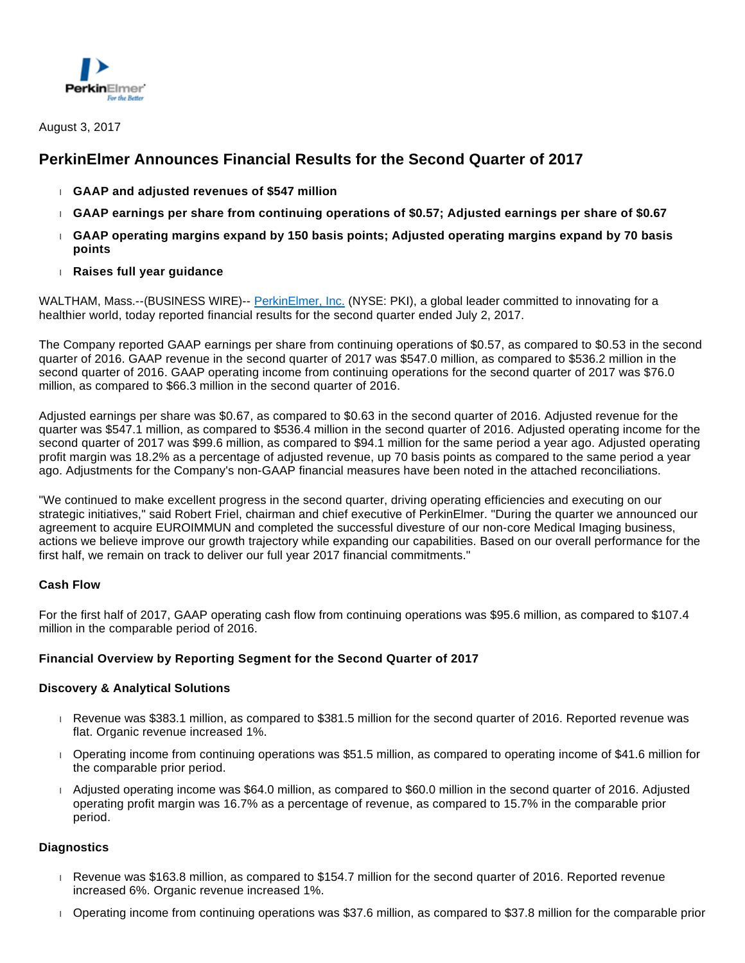

# **PerkinElmer Announces Financial Results for the Second Quarter of 2017**

- **GAAP and adjusted revenues of \$547 million**
- **GAAP earnings per share from continuing operations of \$0.57; Adjusted earnings per share of \$0.67**
- **GAAP operating margins expand by 150 basis points; Adjusted operating margins expand by 70 basis points**
- **Raises full year guidance**

WALTHAM, Mass.--(BUSINESS WIRE)-- [PerkinElmer, Inc.](http://cts.businesswire.com/ct/CT?id=smartlink&url=http%3A%2F%2Fwww.perkinelmer.com&esheet=51629435&newsitemid=20170803006317&lan=en-US&anchor=PerkinElmer%2C+Inc.&index=1&md5=876b6fbd94d93669c211bcc57a01c02b) (NYSE: PKI), a global leader committed to innovating for a healthier world, today reported financial results for the second quarter ended July 2, 2017.

The Company reported GAAP earnings per share from continuing operations of \$0.57, as compared to \$0.53 in the second quarter of 2016. GAAP revenue in the second quarter of 2017 was \$547.0 million, as compared to \$536.2 million in the second quarter of 2016. GAAP operating income from continuing operations for the second quarter of 2017 was \$76.0 million, as compared to \$66.3 million in the second quarter of 2016.

Adjusted earnings per share was \$0.67, as compared to \$0.63 in the second quarter of 2016. Adjusted revenue for the quarter was \$547.1 million, as compared to \$536.4 million in the second quarter of 2016. Adjusted operating income for the second quarter of 2017 was \$99.6 million, as compared to \$94.1 million for the same period a year ago. Adjusted operating profit margin was 18.2% as a percentage of adjusted revenue, up 70 basis points as compared to the same period a year ago. Adjustments for the Company's non-GAAP financial measures have been noted in the attached reconciliations.

"We continued to make excellent progress in the second quarter, driving operating efficiencies and executing on our strategic initiatives," said Robert Friel, chairman and chief executive of PerkinElmer. "During the quarter we announced our agreement to acquire EUROIMMUN and completed the successful divesture of our non-core Medical Imaging business, actions we believe improve our growth trajectory while expanding our capabilities. Based on our overall performance for the first half, we remain on track to deliver our full year 2017 financial commitments."

## **Cash Flow**

For the first half of 2017, GAAP operating cash flow from continuing operations was \$95.6 million, as compared to \$107.4 million in the comparable period of 2016.

## **Financial Overview by Reporting Segment for the Second Quarter of 2017**

## **Discovery & Analytical Solutions**

- Revenue was \$383.1 million, as compared to \$381.5 million for the second quarter of 2016. Reported revenue was flat. Organic revenue increased 1%.
- Operating income from continuing operations was \$51.5 million, as compared to operating income of \$41.6 million for the comparable prior period.
- Adjusted operating income was \$64.0 million, as compared to \$60.0 million in the second quarter of 2016. Adjusted operating profit margin was 16.7% as a percentage of revenue, as compared to 15.7% in the comparable prior period.

## **Diagnostics**

- Revenue was \$163.8 million, as compared to \$154.7 million for the second quarter of 2016. Reported revenue increased 6%. Organic revenue increased 1%.
- Operating income from continuing operations was \$37.6 million, as compared to \$37.8 million for the comparable prior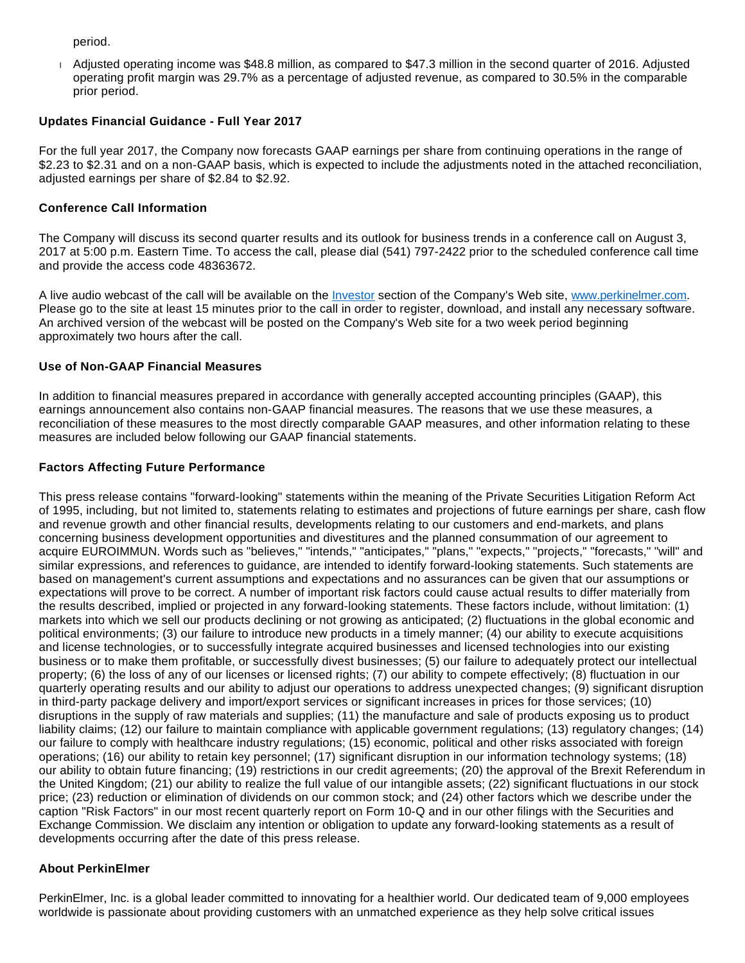period.

 Adjusted operating income was \$48.8 million, as compared to \$47.3 million in the second quarter of 2016. Adjusted operating profit margin was 29.7% as a percentage of adjusted revenue, as compared to 30.5% in the comparable prior period.

#### **Updates Financial Guidance - Full Year 2017**

For the full year 2017, the Company now forecasts GAAP earnings per share from continuing operations in the range of \$2.23 to \$2.31 and on a non-GAAP basis, which is expected to include the adjustments noted in the attached reconciliation, adjusted earnings per share of \$2.84 to \$2.92.

#### **Conference Call Information**

The Company will discuss its second quarter results and its outlook for business trends in a conference call on August 3, 2017 at 5:00 p.m. Eastern Time. To access the call, please dial (541) 797-2422 prior to the scheduled conference call time and provide the access code 48363672.

A live audio webcast of the call will be available on the [Investor](http://cts.businesswire.com/ct/CT?id=smartlink&url=http%3A%2F%2Fwww.perkinelmer.com%2Fcorporate%2Finvestors%2F&esheet=51629435&newsitemid=20170803006317&lan=en-US&anchor=Investor&index=2&md5=e52924293ad463b6c854268703ad41dc) section of the Company's Web site, [www.perkinelmer.com.](http://cts.businesswire.com/ct/CT?id=smartlink&url=http%3A%2F%2Fwww.perkinelmer.com&esheet=51629435&newsitemid=20170803006317&lan=en-US&anchor=www.perkinelmer.com&index=3&md5=0ea705936f0481f064754e42df253a11) Please go to the site at least 15 minutes prior to the call in order to register, download, and install any necessary software. An archived version of the webcast will be posted on the Company's Web site for a two week period beginning approximately two hours after the call.

#### **Use of Non-GAAP Financial Measures**

In addition to financial measures prepared in accordance with generally accepted accounting principles (GAAP), this earnings announcement also contains non-GAAP financial measures. The reasons that we use these measures, a reconciliation of these measures to the most directly comparable GAAP measures, and other information relating to these measures are included below following our GAAP financial statements.

#### **Factors Affecting Future Performance**

This press release contains "forward-looking" statements within the meaning of the Private Securities Litigation Reform Act of 1995, including, but not limited to, statements relating to estimates and projections of future earnings per share, cash flow and revenue growth and other financial results, developments relating to our customers and end-markets, and plans concerning business development opportunities and divestitures and the planned consummation of our agreement to acquire EUROIMMUN. Words such as "believes," "intends," "anticipates," "plans," "expects," "projects," "forecasts," "will" and similar expressions, and references to guidance, are intended to identify forward-looking statements. Such statements are based on management's current assumptions and expectations and no assurances can be given that our assumptions or expectations will prove to be correct. A number of important risk factors could cause actual results to differ materially from the results described, implied or projected in any forward-looking statements. These factors include, without limitation: (1) markets into which we sell our products declining or not growing as anticipated; (2) fluctuations in the global economic and political environments; (3) our failure to introduce new products in a timely manner; (4) our ability to execute acquisitions and license technologies, or to successfully integrate acquired businesses and licensed technologies into our existing business or to make them profitable, or successfully divest businesses; (5) our failure to adequately protect our intellectual property; (6) the loss of any of our licenses or licensed rights; (7) our ability to compete effectively; (8) fluctuation in our quarterly operating results and our ability to adjust our operations to address unexpected changes; (9) significant disruption in third-party package delivery and import/export services or significant increases in prices for those services; (10) disruptions in the supply of raw materials and supplies; (11) the manufacture and sale of products exposing us to product liability claims; (12) our failure to maintain compliance with applicable government regulations; (13) regulatory changes; (14) our failure to comply with healthcare industry regulations; (15) economic, political and other risks associated with foreign operations; (16) our ability to retain key personnel; (17) significant disruption in our information technology systems; (18) our ability to obtain future financing; (19) restrictions in our credit agreements; (20) the approval of the Brexit Referendum in the United Kingdom; (21) our ability to realize the full value of our intangible assets; (22) significant fluctuations in our stock price; (23) reduction or elimination of dividends on our common stock; and (24) other factors which we describe under the caption "Risk Factors" in our most recent quarterly report on Form 10-Q and in our other filings with the Securities and Exchange Commission. We disclaim any intention or obligation to update any forward-looking statements as a result of developments occurring after the date of this press release.

#### **About PerkinElmer**

PerkinElmer, Inc. is a global leader committed to innovating for a healthier world. Our dedicated team of 9,000 employees worldwide is passionate about providing customers with an unmatched experience as they help solve critical issues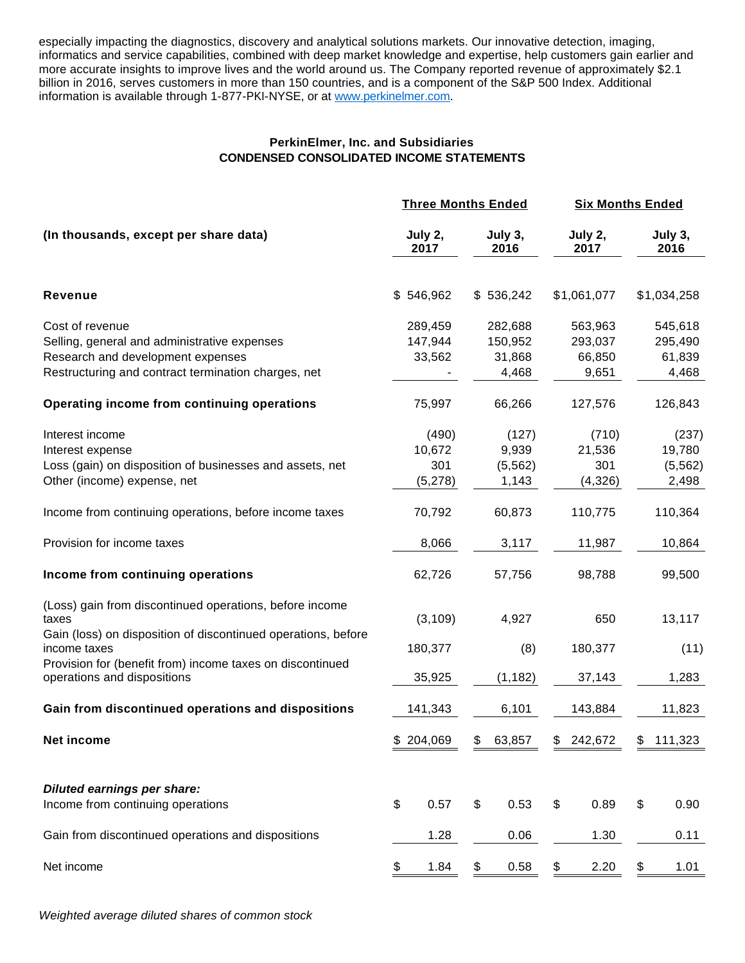especially impacting the diagnostics, discovery and analytical solutions markets. Our innovative detection, imaging, informatics and service capabilities, combined with deep market knowledge and expertise, help customers gain earlier and more accurate insights to improve lives and the world around us. The Company reported revenue of approximately \$2.1 billion in 2016, serves customers in more than 150 countries, and is a component of the S&P 500 Index. Additional information is available through 1-877-PKI-NYSE, or at [www.perkinelmer.com.](http://cts.businesswire.com/ct/CT?id=smartlink&url=http%3A%2F%2Fwww.perkinelmer.com&esheet=51629435&newsitemid=20170803006317&lan=en-US&anchor=www.perkinelmer.com&index=4&md5=84d554d363aebb2a88bf4760869fc499)

## **PerkinElmer, Inc. and Subsidiaries CONDENSED CONSOLIDATED INCOME STATEMENTS**

|                                                                                                                                                                                                                                               |                                   | <b>Three Months Ended</b>             |                                       | <b>Six Months Ended</b>               |
|-----------------------------------------------------------------------------------------------------------------------------------------------------------------------------------------------------------------------------------------------|-----------------------------------|---------------------------------------|---------------------------------------|---------------------------------------|
| (In thousands, except per share data)                                                                                                                                                                                                         | July 2,<br>2017                   | July 3,<br>2016                       | July 2,<br>2017                       | July 3,<br>2016                       |
| Revenue                                                                                                                                                                                                                                       | \$546,962                         | \$536,242                             | \$1,061,077                           | \$1,034,258                           |
| Cost of revenue<br>Selling, general and administrative expenses<br>Research and development expenses<br>Restructuring and contract termination charges, net                                                                                   | 289,459<br>147,944<br>33,562      | 282,688<br>150,952<br>31,868<br>4,468 | 563,963<br>293,037<br>66,850<br>9,651 | 545,618<br>295,490<br>61,839<br>4,468 |
| Operating income from continuing operations                                                                                                                                                                                                   | 75,997                            | 66,266                                | 127,576                               | 126,843                               |
| Interest income<br>Interest expense<br>Loss (gain) on disposition of businesses and assets, net<br>Other (income) expense, net                                                                                                                | (490)<br>10,672<br>301<br>(5,278) | (127)<br>9,939<br>(5, 562)<br>1,143   | (710)<br>21,536<br>301<br>(4,326)     | (237)<br>19,780<br>(5, 562)<br>2,498  |
| Income from continuing operations, before income taxes                                                                                                                                                                                        | 70,792                            | 60,873                                | 110,775                               | 110,364                               |
| Provision for income taxes                                                                                                                                                                                                                    | 8,066                             | 3,117                                 | 11,987                                | 10,864                                |
| Income from continuing operations                                                                                                                                                                                                             | 62,726                            | 57,756                                | 98,788                                | 99,500                                |
| (Loss) gain from discontinued operations, before income<br>taxes<br>Gain (loss) on disposition of discontinued operations, before<br>income taxes<br>Provision for (benefit from) income taxes on discontinued<br>operations and dispositions | (3, 109)<br>180,377<br>35,925     | 4,927<br>(8)<br>(1, 182)              | 650<br>180,377<br>37,143              | 13,117<br>(11)<br>1,283               |
| Gain from discontinued operations and dispositions                                                                                                                                                                                            | 141,343                           | 6,101                                 | 143,884                               | 11,823                                |
| <b>Net income</b>                                                                                                                                                                                                                             | \$204,069                         | 63,857<br>\$                          | 242,672<br>\$                         | \$111,323                             |
| <b>Diluted earnings per share:</b><br>Income from continuing operations                                                                                                                                                                       | \$<br>0.57                        | 0.53<br>\$                            | \$<br>0.89                            | \$<br>0.90                            |
| Gain from discontinued operations and dispositions                                                                                                                                                                                            | 1.28                              | 0.06                                  | 1.30                                  | 0.11                                  |
| Net income                                                                                                                                                                                                                                    | 1.84<br>\$                        | \$<br>0.58                            | \$<br>2.20                            | \$<br>1.01                            |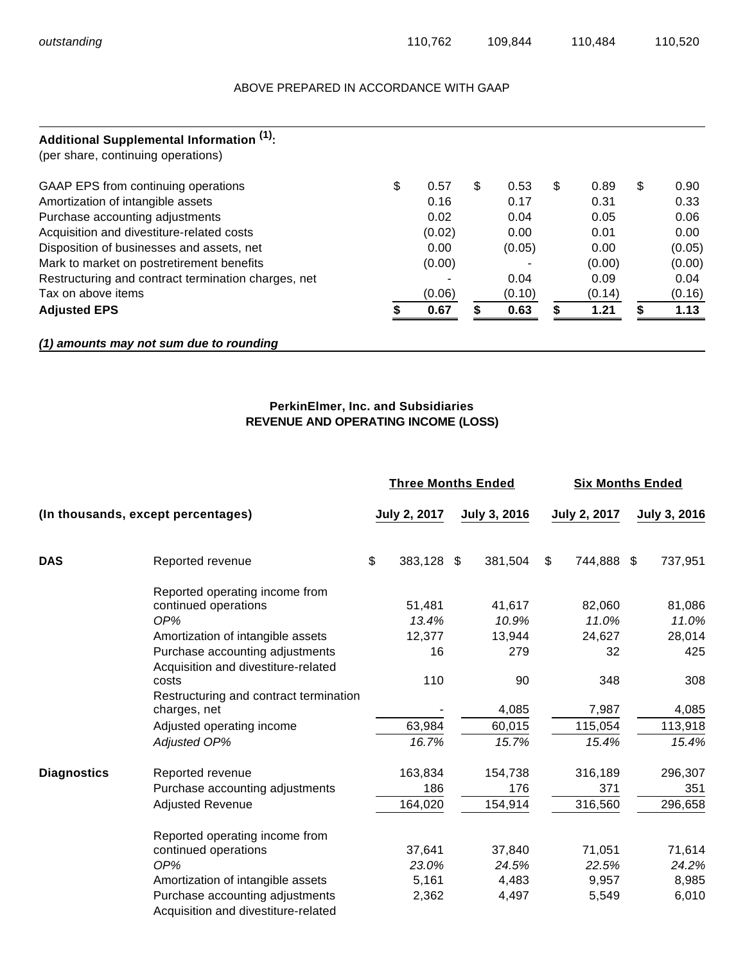#### ABOVE PREPARED IN ACCORDANCE WITH GAAP

| Additional Supplemental Information (1).<br>(per share, continuing operations) |            |            |            |   |        |
|--------------------------------------------------------------------------------|------------|------------|------------|---|--------|
| GAAP EPS from continuing operations                                            | \$<br>0.57 | \$<br>0.53 | \$<br>0.89 | S | 0.90   |
| Amortization of intangible assets                                              | 0.16       | 0.17       | 0.31       |   | 0.33   |
| Purchase accounting adjustments                                                | 0.02       | 0.04       | 0.05       |   | 0.06   |
| Acquisition and divestiture-related costs                                      | (0.02)     | 0.00       | 0.01       |   | 0.00   |
| Disposition of businesses and assets, net                                      | 0.00       | (0.05)     | 0.00       |   | (0.05) |
| Mark to market on postretirement benefits                                      | (0.00)     |            | (0.00)     |   | (0.00) |
| Restructuring and contract termination charges, net                            |            | 0.04       | 0.09       |   | 0.04   |
| Tax on above items                                                             | (0.06)     | (0.10)     | (0.14)     |   | (0.16) |
| <b>Adjusted EPS</b>                                                            | 0.67       | 0.63       | 1.21       |   | 1.13   |

## **(1) amounts may not sum due to rounding**

## **PerkinElmer, Inc. and Subsidiaries REVENUE AND OPERATING INCOME (LOSS)**

|                    |                                        | <b>Three Months Ended</b> |                     | <b>Six Months Ended</b> |    |              |  |                     |
|--------------------|----------------------------------------|---------------------------|---------------------|-------------------------|----|--------------|--|---------------------|
|                    | (In thousands, except percentages)     |                           | <b>July 2, 2017</b> | July 3, 2016            |    | July 2, 2017 |  | <b>July 3, 2016</b> |
| <b>DAS</b>         | Reported revenue                       | \$                        | 383,128 \$          | 381,504                 | \$ | 744,888 \$   |  | 737,951             |
|                    | Reported operating income from         |                           |                     |                         |    |              |  |                     |
|                    | continued operations                   |                           | 51,481              | 41,617                  |    | 82,060       |  | 81,086              |
|                    | OP%                                    |                           | 13.4%               | 10.9%                   |    | 11.0%        |  | 11.0%               |
|                    | Amortization of intangible assets      |                           | 12,377              | 13,944                  |    | 24,627       |  | 28,014              |
|                    | Purchase accounting adjustments        |                           | 16                  | 279                     |    | 32           |  | 425                 |
|                    | Acquisition and divestiture-related    |                           |                     |                         |    |              |  |                     |
|                    | costs                                  |                           | 110                 | 90                      |    | 348          |  | 308                 |
|                    | Restructuring and contract termination |                           |                     |                         |    |              |  |                     |
|                    | charges, net                           |                           |                     | 4,085                   |    | 7,987        |  | 4,085               |
|                    | Adjusted operating income              |                           | 63,984              | 60,015                  |    | 115,054      |  | 113,918             |
|                    | Adjusted OP%                           |                           | 16.7%               | 15.7%                   |    | 15.4%        |  | 15.4%               |
| <b>Diagnostics</b> | Reported revenue                       |                           | 163,834             | 154,738                 |    | 316,189      |  | 296,307             |
|                    | Purchase accounting adjustments        |                           | 186                 | 176                     |    | 371          |  | 351                 |
|                    | Adjusted Revenue                       |                           | 164,020             | 154,914                 |    | 316,560      |  | 296,658             |
|                    | Reported operating income from         |                           |                     |                         |    |              |  |                     |
|                    | continued operations                   |                           | 37,641              | 37,840                  |    | 71,051       |  | 71,614              |
|                    | OP%                                    |                           | 23.0%               | 24.5%                   |    | 22.5%        |  | 24.2%               |
|                    | Amortization of intangible assets      |                           | 5,161               | 4,483                   |    | 9,957        |  | 8,985               |
|                    | Purchase accounting adjustments        |                           | 2,362               | 4,497                   |    | 5,549        |  | 6,010               |
|                    | Acquisition and divestiture-related    |                           |                     |                         |    |              |  |                     |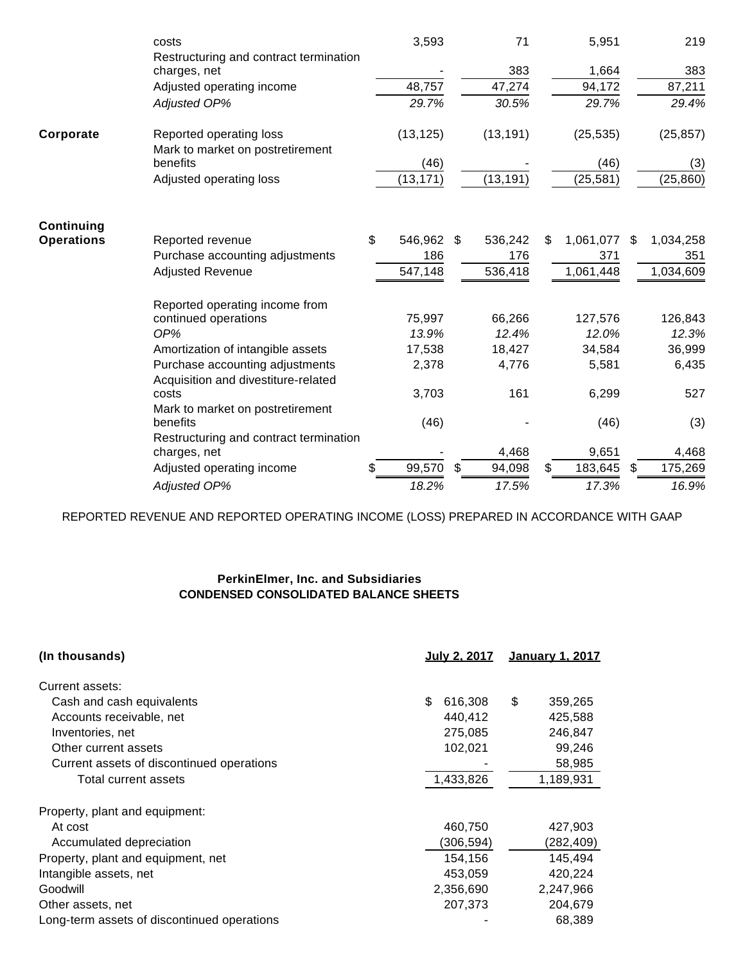|                   | costs                                                       | 3,593            | 71           | 5,951           | 219             |
|-------------------|-------------------------------------------------------------|------------------|--------------|-----------------|-----------------|
|                   | Restructuring and contract termination<br>charges, net      |                  | 383          | 1,664           | 383             |
|                   | Adjusted operating income                                   | 48,757           | 47,274       | 94,172          | 87,211          |
|                   | Adjusted OP%                                                | 29.7%            | 30.5%        | 29.7%           | 29.4%           |
| Corporate         | Reported operating loss<br>Mark to market on postretirement | (13, 125)        | (13, 191)    | (25, 535)       | (25, 857)       |
|                   | benefits                                                    | (46)             |              | (46)            | (3)             |
|                   | Adjusted operating loss                                     | (13, 171)        | (13, 191)    | (25, 581)       | (25, 860)       |
| Continuing        |                                                             |                  |              |                 |                 |
| <b>Operations</b> | Reported revenue                                            | \$<br>546,962 \$ | 536,242      | \$<br>1,061,077 | \$<br>1,034,258 |
|                   | Purchase accounting adjustments                             | 186              | 176          | 371             | 351             |
|                   | <b>Adjusted Revenue</b>                                     | 547,148          | 536,418      | 1,061,448       | 1,034,609       |
|                   |                                                             |                  |              |                 |                 |
|                   | Reported operating income from                              |                  |              |                 |                 |
|                   | continued operations                                        | 75,997           | 66,266       | 127,576         | 126,843         |
|                   | OP%                                                         | 13.9%            | 12.4%        | 12.0%           | 12.3%           |
|                   | Amortization of intangible assets                           | 17,538           | 18,427       | 34,584          | 36,999          |
|                   | Purchase accounting adjustments                             | 2,378            | 4,776        | 5,581           | 6,435           |
|                   | Acquisition and divestiture-related                         |                  |              |                 |                 |
|                   | costs                                                       | 3,703            | 161          | 6,299           | 527             |
|                   | Mark to market on postretirement                            |                  |              |                 |                 |
|                   | benefits                                                    | (46)             |              | (46)            | (3)             |
|                   | Restructuring and contract termination                      |                  |              |                 |                 |
|                   | charges, net                                                |                  | 4,468        | 9,651           | 4,468           |
|                   | Adjusted operating income                                   | 99,570           | \$<br>94,098 | 183,645         | \$<br>175,269   |
|                   | <b>Adjusted OP%</b>                                         | 18.2%            | 17.5%        | 17.3%           | 16.9%           |

REPORTED REVENUE AND REPORTED OPERATING INCOME (LOSS) PREPARED IN ACCORDANCE WITH GAAP

## **PerkinElmer, Inc. and Subsidiaries CONDENSED CONSOLIDATED BALANCE SHEETS**

| (In thousands)                              | <b>July 2, 2017</b> | <u>January 1, 2017</u> |
|---------------------------------------------|---------------------|------------------------|
| Current assets:                             |                     |                        |
| Cash and cash equivalents                   | \$<br>616.308       | \$<br>359,265          |
| Accounts receivable, net                    | 440,412             | 425,588                |
| Inventories, net                            | 275,085             | 246,847                |
| Other current assets                        | 102,021             | 99,246                 |
| Current assets of discontinued operations   |                     | 58,985                 |
| Total current assets                        | 1,433,826           | 1,189,931              |
| Property, plant and equipment:              |                     |                        |
| At cost                                     | 460,750             | 427,903                |
| Accumulated depreciation                    | (306,594)           | (282, 409)             |
| Property, plant and equipment, net          | 154,156             | 145,494                |
| Intangible assets, net                      | 453,059             | 420,224                |
| Goodwill                                    | 2,356,690           | 2,247,966              |
| Other assets, net                           | 207,373             | 204,679                |
| Long-term assets of discontinued operations |                     | 68,389                 |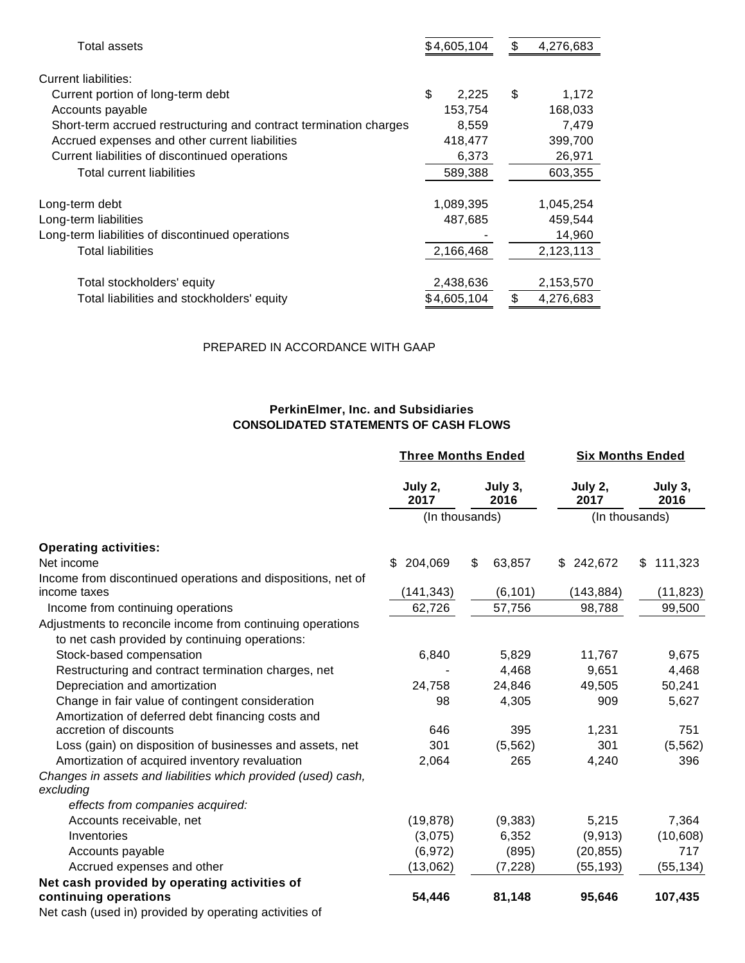| Total assets                                                      | \$4,605,104 | \$<br>4,276,683 |
|-------------------------------------------------------------------|-------------|-----------------|
| Current liabilities:                                              |             |                 |
| Current portion of long-term debt                                 | \$<br>2,225 | \$<br>1,172     |
| Accounts payable                                                  | 153,754     | 168,033         |
| Short-term accrued restructuring and contract termination charges | 8,559       | 7,479           |
| Accrued expenses and other current liabilities                    | 418,477     | 399,700         |
| Current liabilities of discontinued operations                    | 6,373       | 26,971          |
| Total current liabilities                                         | 589,388     | 603,355         |
|                                                                   |             |                 |
| Long-term debt                                                    | 1,089,395   | 1,045,254       |
| Long-term liabilities                                             | 487,685     | 459,544         |
| Long-term liabilities of discontinued operations                  |             | 14,960          |
| <b>Total liabilities</b>                                          | 2,166,468   | 2,123,113       |
|                                                                   |             |                 |
| Total stockholders' equity                                        | 2,438,636   | 2,153,570       |
| Total liabilities and stockholders' equity                        | \$4.605.104 | \$<br>4,276,683 |

#### PREPARED IN ACCORDANCE WITH GAAP

## **PerkinElmer, Inc. and Subsidiaries CONSOLIDATED STATEMENTS OF CASH FLOWS**

|                                                                            | <b>Three Months Ended</b> |                 | <b>Six Months Ended</b> |                 |  |
|----------------------------------------------------------------------------|---------------------------|-----------------|-------------------------|-----------------|--|
|                                                                            | July 2,<br>2017           | July 3,<br>2016 | July 2,<br>2017         | July 3,<br>2016 |  |
|                                                                            |                           | (In thousands)  |                         | (In thousands)  |  |
| <b>Operating activities:</b>                                               |                           |                 |                         |                 |  |
| Net income                                                                 | 204,069<br>\$             | \$<br>63,857    | \$242,672               | 111,323<br>\$   |  |
| Income from discontinued operations and dispositions, net of               |                           |                 |                         |                 |  |
| income taxes                                                               | (141, 343)                | (6, 101)        | (143, 884)              | (11, 823)       |  |
| Income from continuing operations                                          | 62,726                    | 57,756          | 98,788                  | 99,500          |  |
| Adjustments to reconcile income from continuing operations                 |                           |                 |                         |                 |  |
| to net cash provided by continuing operations:                             |                           |                 |                         |                 |  |
| Stock-based compensation                                                   | 6,840                     | 5,829           | 11,767                  | 9,675           |  |
| Restructuring and contract termination charges, net                        |                           | 4,468           | 9,651                   | 4,468           |  |
| Depreciation and amortization                                              | 24,758                    | 24,846          | 49,505                  | 50,241          |  |
| Change in fair value of contingent consideration                           | 98                        | 4,305           | 909                     | 5,627           |  |
| Amortization of deferred debt financing costs and                          |                           |                 |                         |                 |  |
| accretion of discounts                                                     | 646                       | 395             | 1,231                   | 751             |  |
| Loss (gain) on disposition of businesses and assets, net                   | 301                       | (5, 562)        | 301                     | (5, 562)        |  |
| Amortization of acquired inventory revaluation                             | 2,064                     | 265             | 4,240                   | 396             |  |
| Changes in assets and liabilities which provided (used) cash,<br>excluding |                           |                 |                         |                 |  |
| effects from companies acquired:                                           |                           |                 |                         |                 |  |
| Accounts receivable, net                                                   | (19, 878)                 | (9, 383)        | 5,215                   | 7,364           |  |
| Inventories                                                                | (3,075)                   | 6,352           | (9, 913)                | (10, 608)       |  |
| Accounts payable                                                           | (6,972)                   | (895)           | (20, 855)               | 717             |  |
| Accrued expenses and other                                                 | (13,062)                  | (7, 228)        | (55, 193)               | (55, 134)       |  |
| Net cash provided by operating activities of                               |                           |                 |                         |                 |  |
| continuing operations                                                      | 54,446                    | 81,148          | 95,646                  | 107,435         |  |
| Net cash (used in) provided by operating activities of                     |                           |                 |                         |                 |  |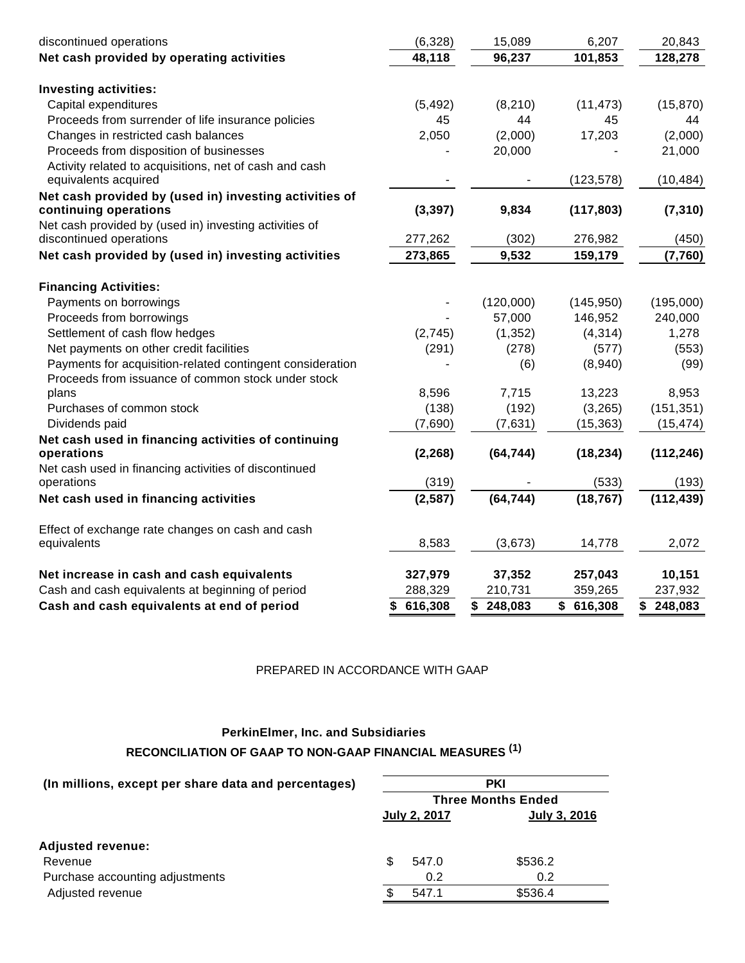| Net cash provided by operating activities<br>48,118<br>96,237<br>101,853<br>128,278<br><b>Investing activities:</b><br>Capital expenditures<br>(15, 870)<br>(5, 492)<br>(8, 210)<br>(11, 473)<br>Proceeds from surrender of life insurance policies<br>45<br>44<br>45<br>44<br>17,203<br>Changes in restricted cash balances<br>2,050<br>(2,000)<br>(2,000)<br>Proceeds from disposition of businesses<br>20,000<br>21,000<br>Activity related to acquisitions, net of cash and cash<br>equivalents acquired<br>(123, 578)<br>(10, 484)<br>Net cash provided by (used in) investing activities of<br>continuing operations<br>(3, 397)<br>9,834<br>(117, 803)<br>(7, 310)<br>Net cash provided by (used in) investing activities of<br>discontinued operations<br>277,262<br>(302)<br>276,982<br>(450)<br>9,532<br>Net cash provided by (used in) investing activities<br>273,865<br>159,179<br>(7,760)<br><b>Financing Activities:</b><br>Payments on borrowings<br>(120,000)<br>(195,000)<br>(145, 950)<br>146,952<br>240,000<br>Proceeds from borrowings<br>57,000<br>Settlement of cash flow hedges<br>(1, 352)<br>(4, 314)<br>1,278<br>(2,745)<br>Net payments on other credit facilities<br>(291)<br>(278)<br>(577)<br>(553)<br>Payments for acquisition-related contingent consideration<br>(8,940)<br>(6)<br>(99)<br>Proceeds from issuance of common stock under stock<br>8,596<br>13,223<br>7,715<br>8,953<br>plans<br>(3,265)<br>(151, 351)<br>Purchases of common stock<br>(138)<br>(192)<br>Dividends paid<br>(7,690)<br>(7,631)<br>(15, 363)<br>(15, 474)<br>Net cash used in financing activities of continuing<br>(2, 268)<br>operations<br>(64, 744)<br>(18, 234)<br>(112, 246)<br>Net cash used in financing activities of discontinued<br>(319)<br>(533)<br>(193)<br>operations<br>(64, 744)<br>(18, 767)<br>(112, 439)<br>(2, 587)<br>Net cash used in financing activities<br>Effect of exchange rate changes on cash and cash<br>8,583<br>(3,673)<br>2,072<br>equivalents<br>14,778<br>Net increase in cash and cash equivalents<br>327,979<br>37,352<br>257,043<br>10,151<br>Cash and cash equivalents at beginning of period<br>288,329<br>210,731<br>359,265<br>237,932<br>Cash and cash equivalents at end of period<br>\$616,308<br>\$248,083<br>\$616,308<br>\$248,083 | discontinued operations | (6,328) | 15,089 | 6,207 | 20,843 |
|----------------------------------------------------------------------------------------------------------------------------------------------------------------------------------------------------------------------------------------------------------------------------------------------------------------------------------------------------------------------------------------------------------------------------------------------------------------------------------------------------------------------------------------------------------------------------------------------------------------------------------------------------------------------------------------------------------------------------------------------------------------------------------------------------------------------------------------------------------------------------------------------------------------------------------------------------------------------------------------------------------------------------------------------------------------------------------------------------------------------------------------------------------------------------------------------------------------------------------------------------------------------------------------------------------------------------------------------------------------------------------------------------------------------------------------------------------------------------------------------------------------------------------------------------------------------------------------------------------------------------------------------------------------------------------------------------------------------------------------------------------------------------------------------------------------------------------------------------------------------------------------------------------------------------------------------------------------------------------------------------------------------------------------------------------------------------------------------------------------------------------------------------------------------------------------------------------------------------------------------------------------------------------------------------|-------------------------|---------|--------|-------|--------|
|                                                                                                                                                                                                                                                                                                                                                                                                                                                                                                                                                                                                                                                                                                                                                                                                                                                                                                                                                                                                                                                                                                                                                                                                                                                                                                                                                                                                                                                                                                                                                                                                                                                                                                                                                                                                                                                                                                                                                                                                                                                                                                                                                                                                                                                                                                    |                         |         |        |       |        |
|                                                                                                                                                                                                                                                                                                                                                                                                                                                                                                                                                                                                                                                                                                                                                                                                                                                                                                                                                                                                                                                                                                                                                                                                                                                                                                                                                                                                                                                                                                                                                                                                                                                                                                                                                                                                                                                                                                                                                                                                                                                                                                                                                                                                                                                                                                    |                         |         |        |       |        |
|                                                                                                                                                                                                                                                                                                                                                                                                                                                                                                                                                                                                                                                                                                                                                                                                                                                                                                                                                                                                                                                                                                                                                                                                                                                                                                                                                                                                                                                                                                                                                                                                                                                                                                                                                                                                                                                                                                                                                                                                                                                                                                                                                                                                                                                                                                    |                         |         |        |       |        |
|                                                                                                                                                                                                                                                                                                                                                                                                                                                                                                                                                                                                                                                                                                                                                                                                                                                                                                                                                                                                                                                                                                                                                                                                                                                                                                                                                                                                                                                                                                                                                                                                                                                                                                                                                                                                                                                                                                                                                                                                                                                                                                                                                                                                                                                                                                    |                         |         |        |       |        |
|                                                                                                                                                                                                                                                                                                                                                                                                                                                                                                                                                                                                                                                                                                                                                                                                                                                                                                                                                                                                                                                                                                                                                                                                                                                                                                                                                                                                                                                                                                                                                                                                                                                                                                                                                                                                                                                                                                                                                                                                                                                                                                                                                                                                                                                                                                    |                         |         |        |       |        |
|                                                                                                                                                                                                                                                                                                                                                                                                                                                                                                                                                                                                                                                                                                                                                                                                                                                                                                                                                                                                                                                                                                                                                                                                                                                                                                                                                                                                                                                                                                                                                                                                                                                                                                                                                                                                                                                                                                                                                                                                                                                                                                                                                                                                                                                                                                    |                         |         |        |       |        |
|                                                                                                                                                                                                                                                                                                                                                                                                                                                                                                                                                                                                                                                                                                                                                                                                                                                                                                                                                                                                                                                                                                                                                                                                                                                                                                                                                                                                                                                                                                                                                                                                                                                                                                                                                                                                                                                                                                                                                                                                                                                                                                                                                                                                                                                                                                    |                         |         |        |       |        |
|                                                                                                                                                                                                                                                                                                                                                                                                                                                                                                                                                                                                                                                                                                                                                                                                                                                                                                                                                                                                                                                                                                                                                                                                                                                                                                                                                                                                                                                                                                                                                                                                                                                                                                                                                                                                                                                                                                                                                                                                                                                                                                                                                                                                                                                                                                    |                         |         |        |       |        |
|                                                                                                                                                                                                                                                                                                                                                                                                                                                                                                                                                                                                                                                                                                                                                                                                                                                                                                                                                                                                                                                                                                                                                                                                                                                                                                                                                                                                                                                                                                                                                                                                                                                                                                                                                                                                                                                                                                                                                                                                                                                                                                                                                                                                                                                                                                    |                         |         |        |       |        |
|                                                                                                                                                                                                                                                                                                                                                                                                                                                                                                                                                                                                                                                                                                                                                                                                                                                                                                                                                                                                                                                                                                                                                                                                                                                                                                                                                                                                                                                                                                                                                                                                                                                                                                                                                                                                                                                                                                                                                                                                                                                                                                                                                                                                                                                                                                    |                         |         |        |       |        |
|                                                                                                                                                                                                                                                                                                                                                                                                                                                                                                                                                                                                                                                                                                                                                                                                                                                                                                                                                                                                                                                                                                                                                                                                                                                                                                                                                                                                                                                                                                                                                                                                                                                                                                                                                                                                                                                                                                                                                                                                                                                                                                                                                                                                                                                                                                    |                         |         |        |       |        |
|                                                                                                                                                                                                                                                                                                                                                                                                                                                                                                                                                                                                                                                                                                                                                                                                                                                                                                                                                                                                                                                                                                                                                                                                                                                                                                                                                                                                                                                                                                                                                                                                                                                                                                                                                                                                                                                                                                                                                                                                                                                                                                                                                                                                                                                                                                    |                         |         |        |       |        |
|                                                                                                                                                                                                                                                                                                                                                                                                                                                                                                                                                                                                                                                                                                                                                                                                                                                                                                                                                                                                                                                                                                                                                                                                                                                                                                                                                                                                                                                                                                                                                                                                                                                                                                                                                                                                                                                                                                                                                                                                                                                                                                                                                                                                                                                                                                    |                         |         |        |       |        |
|                                                                                                                                                                                                                                                                                                                                                                                                                                                                                                                                                                                                                                                                                                                                                                                                                                                                                                                                                                                                                                                                                                                                                                                                                                                                                                                                                                                                                                                                                                                                                                                                                                                                                                                                                                                                                                                                                                                                                                                                                                                                                                                                                                                                                                                                                                    |                         |         |        |       |        |
|                                                                                                                                                                                                                                                                                                                                                                                                                                                                                                                                                                                                                                                                                                                                                                                                                                                                                                                                                                                                                                                                                                                                                                                                                                                                                                                                                                                                                                                                                                                                                                                                                                                                                                                                                                                                                                                                                                                                                                                                                                                                                                                                                                                                                                                                                                    |                         |         |        |       |        |
|                                                                                                                                                                                                                                                                                                                                                                                                                                                                                                                                                                                                                                                                                                                                                                                                                                                                                                                                                                                                                                                                                                                                                                                                                                                                                                                                                                                                                                                                                                                                                                                                                                                                                                                                                                                                                                                                                                                                                                                                                                                                                                                                                                                                                                                                                                    |                         |         |        |       |        |
|                                                                                                                                                                                                                                                                                                                                                                                                                                                                                                                                                                                                                                                                                                                                                                                                                                                                                                                                                                                                                                                                                                                                                                                                                                                                                                                                                                                                                                                                                                                                                                                                                                                                                                                                                                                                                                                                                                                                                                                                                                                                                                                                                                                                                                                                                                    |                         |         |        |       |        |
|                                                                                                                                                                                                                                                                                                                                                                                                                                                                                                                                                                                                                                                                                                                                                                                                                                                                                                                                                                                                                                                                                                                                                                                                                                                                                                                                                                                                                                                                                                                                                                                                                                                                                                                                                                                                                                                                                                                                                                                                                                                                                                                                                                                                                                                                                                    |                         |         |        |       |        |
|                                                                                                                                                                                                                                                                                                                                                                                                                                                                                                                                                                                                                                                                                                                                                                                                                                                                                                                                                                                                                                                                                                                                                                                                                                                                                                                                                                                                                                                                                                                                                                                                                                                                                                                                                                                                                                                                                                                                                                                                                                                                                                                                                                                                                                                                                                    |                         |         |        |       |        |
|                                                                                                                                                                                                                                                                                                                                                                                                                                                                                                                                                                                                                                                                                                                                                                                                                                                                                                                                                                                                                                                                                                                                                                                                                                                                                                                                                                                                                                                                                                                                                                                                                                                                                                                                                                                                                                                                                                                                                                                                                                                                                                                                                                                                                                                                                                    |                         |         |        |       |        |
|                                                                                                                                                                                                                                                                                                                                                                                                                                                                                                                                                                                                                                                                                                                                                                                                                                                                                                                                                                                                                                                                                                                                                                                                                                                                                                                                                                                                                                                                                                                                                                                                                                                                                                                                                                                                                                                                                                                                                                                                                                                                                                                                                                                                                                                                                                    |                         |         |        |       |        |
|                                                                                                                                                                                                                                                                                                                                                                                                                                                                                                                                                                                                                                                                                                                                                                                                                                                                                                                                                                                                                                                                                                                                                                                                                                                                                                                                                                                                                                                                                                                                                                                                                                                                                                                                                                                                                                                                                                                                                                                                                                                                                                                                                                                                                                                                                                    |                         |         |        |       |        |
|                                                                                                                                                                                                                                                                                                                                                                                                                                                                                                                                                                                                                                                                                                                                                                                                                                                                                                                                                                                                                                                                                                                                                                                                                                                                                                                                                                                                                                                                                                                                                                                                                                                                                                                                                                                                                                                                                                                                                                                                                                                                                                                                                                                                                                                                                                    |                         |         |        |       |        |
|                                                                                                                                                                                                                                                                                                                                                                                                                                                                                                                                                                                                                                                                                                                                                                                                                                                                                                                                                                                                                                                                                                                                                                                                                                                                                                                                                                                                                                                                                                                                                                                                                                                                                                                                                                                                                                                                                                                                                                                                                                                                                                                                                                                                                                                                                                    |                         |         |        |       |        |
|                                                                                                                                                                                                                                                                                                                                                                                                                                                                                                                                                                                                                                                                                                                                                                                                                                                                                                                                                                                                                                                                                                                                                                                                                                                                                                                                                                                                                                                                                                                                                                                                                                                                                                                                                                                                                                                                                                                                                                                                                                                                                                                                                                                                                                                                                                    |                         |         |        |       |        |
|                                                                                                                                                                                                                                                                                                                                                                                                                                                                                                                                                                                                                                                                                                                                                                                                                                                                                                                                                                                                                                                                                                                                                                                                                                                                                                                                                                                                                                                                                                                                                                                                                                                                                                                                                                                                                                                                                                                                                                                                                                                                                                                                                                                                                                                                                                    |                         |         |        |       |        |
|                                                                                                                                                                                                                                                                                                                                                                                                                                                                                                                                                                                                                                                                                                                                                                                                                                                                                                                                                                                                                                                                                                                                                                                                                                                                                                                                                                                                                                                                                                                                                                                                                                                                                                                                                                                                                                                                                                                                                                                                                                                                                                                                                                                                                                                                                                    |                         |         |        |       |        |
|                                                                                                                                                                                                                                                                                                                                                                                                                                                                                                                                                                                                                                                                                                                                                                                                                                                                                                                                                                                                                                                                                                                                                                                                                                                                                                                                                                                                                                                                                                                                                                                                                                                                                                                                                                                                                                                                                                                                                                                                                                                                                                                                                                                                                                                                                                    |                         |         |        |       |        |
|                                                                                                                                                                                                                                                                                                                                                                                                                                                                                                                                                                                                                                                                                                                                                                                                                                                                                                                                                                                                                                                                                                                                                                                                                                                                                                                                                                                                                                                                                                                                                                                                                                                                                                                                                                                                                                                                                                                                                                                                                                                                                                                                                                                                                                                                                                    |                         |         |        |       |        |
|                                                                                                                                                                                                                                                                                                                                                                                                                                                                                                                                                                                                                                                                                                                                                                                                                                                                                                                                                                                                                                                                                                                                                                                                                                                                                                                                                                                                                                                                                                                                                                                                                                                                                                                                                                                                                                                                                                                                                                                                                                                                                                                                                                                                                                                                                                    |                         |         |        |       |        |
|                                                                                                                                                                                                                                                                                                                                                                                                                                                                                                                                                                                                                                                                                                                                                                                                                                                                                                                                                                                                                                                                                                                                                                                                                                                                                                                                                                                                                                                                                                                                                                                                                                                                                                                                                                                                                                                                                                                                                                                                                                                                                                                                                                                                                                                                                                    |                         |         |        |       |        |
|                                                                                                                                                                                                                                                                                                                                                                                                                                                                                                                                                                                                                                                                                                                                                                                                                                                                                                                                                                                                                                                                                                                                                                                                                                                                                                                                                                                                                                                                                                                                                                                                                                                                                                                                                                                                                                                                                                                                                                                                                                                                                                                                                                                                                                                                                                    |                         |         |        |       |        |

## PREPARED IN ACCORDANCE WITH GAAP

# **PerkinElmer, Inc. and Subsidiaries RECONCILIATION OF GAAP TO NON-GAAP FINANCIAL MEASURES (1)**

| (In millions, except per share data and percentages) | <b>PKI</b>                |                     |                     |  |  |  |  |
|------------------------------------------------------|---------------------------|---------------------|---------------------|--|--|--|--|
|                                                      | <b>Three Months Ended</b> |                     |                     |  |  |  |  |
|                                                      |                           | <b>July 2, 2017</b> | <b>July 3, 2016</b> |  |  |  |  |
| <b>Adjusted revenue:</b>                             |                           |                     |                     |  |  |  |  |
| Revenue                                              | S                         | 547.0               | \$536.2             |  |  |  |  |
| Purchase accounting adjustments                      |                           | 0.2                 | 0.2                 |  |  |  |  |
| Adjusted revenue                                     |                           | 547.1               | \$536.4             |  |  |  |  |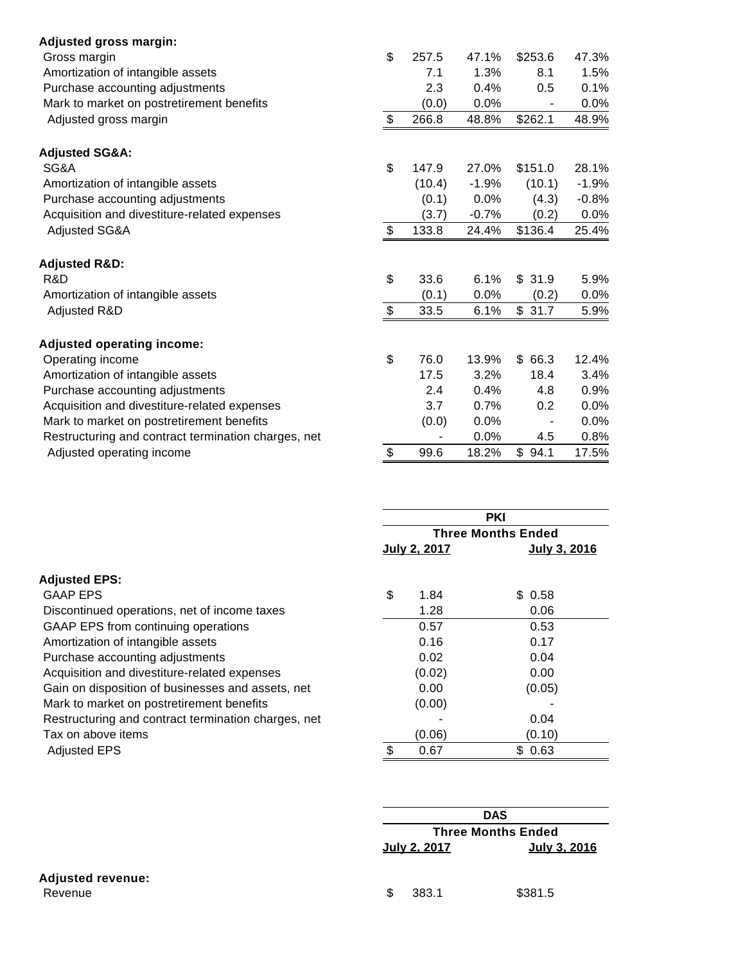| <b>Adjusted gross margin:</b>                       |             |         |         |         |
|-----------------------------------------------------|-------------|---------|---------|---------|
| Gross margin                                        | \$<br>257.5 | 47.1%   | \$253.6 | 47.3%   |
| Amortization of intangible assets                   | 7.1         | 1.3%    | 8.1     | 1.5%    |
| Purchase accounting adjustments                     | 2.3         | 0.4%    | 0.5     | 0.1%    |
| Mark to market on postretirement benefits           | (0.0)       | $0.0\%$ |         | 0.0%    |
| Adjusted gross margin                               | \$<br>266.8 | 48.8%   | \$262.1 | 48.9%   |
| <b>Adjusted SG&amp;A:</b>                           |             |         |         |         |
| SG&A                                                | \$<br>147.9 | 27.0%   | \$151.0 | 28.1%   |
| Amortization of intangible assets                   | (10.4)      | $-1.9%$ | (10.1)  | $-1.9%$ |
| Purchase accounting adjustments                     | (0.1)       | 0.0%    | (4.3)   | $-0.8%$ |
| Acquisition and divestiture-related expenses        | (3.7)       | $-0.7%$ | (0.2)   | 0.0%    |
| Adjusted SG&A                                       | \$<br>133.8 | 24.4%   | \$136.4 | 25.4%   |
| <b>Adjusted R&amp;D:</b>                            |             |         |         |         |
| R&D                                                 | \$<br>33.6  | 6.1%    | \$31.9  | 5.9%    |
| Amortization of intangible assets                   | (0.1)       | 0.0%    | (0.2)   | $0.0\%$ |
| Adjusted R&D                                        | \$<br>33.5  | 6.1%    | \$31.7  | 5.9%    |
| <b>Adjusted operating income:</b>                   |             |         |         |         |
| Operating income                                    | \$<br>76.0  | 13.9%   | \$66.3  | 12.4%   |
| Amortization of intangible assets                   | 17.5        | 3.2%    | 18.4    | 3.4%    |
| Purchase accounting adjustments                     | 2.4         | 0.4%    | 4.8     | 0.9%    |
| Acquisition and divestiture-related expenses        | 3.7         | 0.7%    | 0.2     | 0.0%    |
| Mark to market on postretirement benefits           | (0.0)       | $0.0\%$ |         | 0.0%    |
| Restructuring and contract termination charges, net |             | 0.0%    | 4.5     | 0.8%    |
| Adjusted operating income                           | \$<br>99.6  | 18.2%   | \$94.1  | 17.5%   |

|                                                     |                   | <b>PKI</b>                |
|-----------------------------------------------------|-------------------|---------------------------|
|                                                     |                   | <b>Three Months Ended</b> |
|                                                     | July 2, 2017      | July 3, 2016              |
| <b>Adjusted EPS:</b>                                |                   |                           |
| <b>GAAP EPS</b>                                     | \$<br>1.84        | \$ 0.58                   |
| Discontinued operations, net of income taxes        | 1.28              | 0.06                      |
| GAAP EPS from continuing operations                 | 0.57              | 0.53                      |
| Amortization of intangible assets                   | 0.16              | 0.17                      |
| Purchase accounting adjustments                     | 0.02              | 0.04                      |
| Acquisition and divestiture-related expenses        | (0.02)            | 0.00                      |
| Gain on disposition of businesses and assets, net   | 0.00 <sub>1</sub> | (0.05)                    |
| Mark to market on postretirement benefits           | (0.00)            |                           |
| Restructuring and contract termination charges, net |                   | 0.04                      |
| Tax on above items                                  | (0.06)            | (0.10)                    |
| <b>Adjusted EPS</b>                                 | \$<br>0.67        | \$0.63                    |

|                          |                           | <b>DAS</b>   |  |  |  |
|--------------------------|---------------------------|--------------|--|--|--|
|                          | <b>Three Months Ended</b> |              |  |  |  |
|                          | July 2, 2017              | July 3, 2016 |  |  |  |
| <b>Adjusted revenue:</b> |                           |              |  |  |  |
| Revenue                  | \$<br>383.1               | \$381.5      |  |  |  |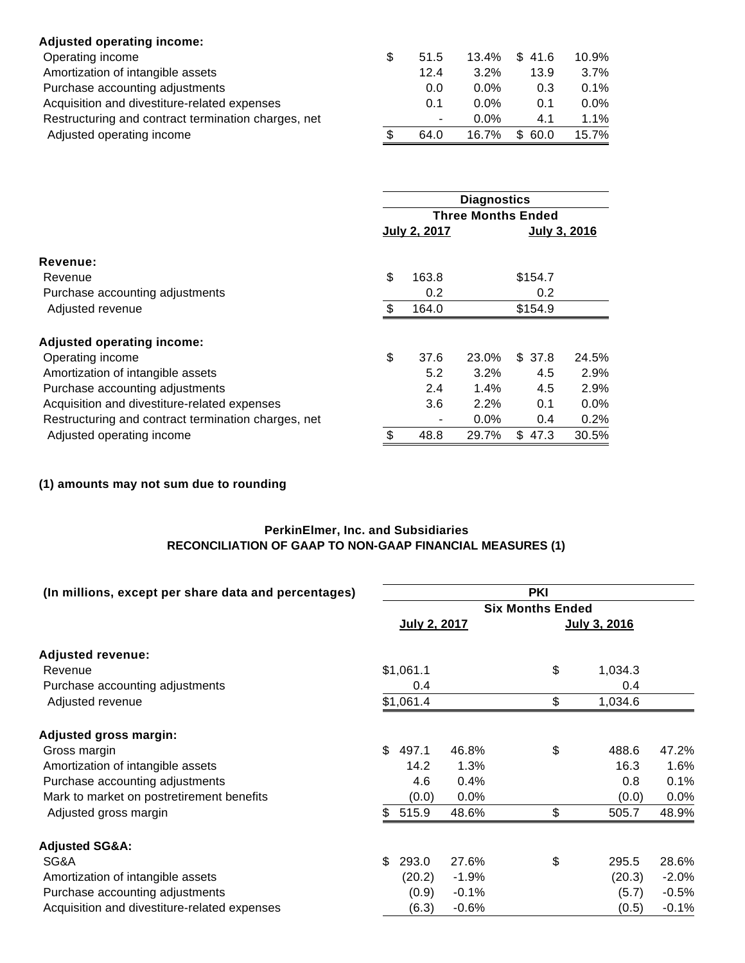| <b>Adjusted operating income:</b>                   |      |         |            |         |
|-----------------------------------------------------|------|---------|------------|---------|
| Operating income                                    | 51.5 | 13.4%   | \$41.6     | 10.9%   |
| Amortization of intangible assets                   | 12.4 | 3.2%    | 13.9       | $3.7\%$ |
| Purchase accounting adjustments                     | 0.0  | $0.0\%$ | 0.3        | $0.1\%$ |
| Acquisition and divestiture-related expenses        | 0.1  | $0.0\%$ | 0.1        | $0.0\%$ |
| Restructuring and contract termination charges, net | ۰.   | $0.0\%$ | 4.1        | $1.1\%$ |
| Adjusted operating income                           | 64.0 | 16.7%   | \$<br>60.0 | 15.7%   |

|                                                     | <b>Diagnostics</b><br><b>Three Months Ended</b> |              |         |         |              |  |
|-----------------------------------------------------|-------------------------------------------------|--------------|---------|---------|--------------|--|
|                                                     |                                                 |              |         |         |              |  |
|                                                     |                                                 | July 2, 2017 |         |         | July 3, 2016 |  |
| Revenue:                                            |                                                 |              |         |         |              |  |
| Revenue                                             | \$                                              | 163.8        |         | \$154.7 |              |  |
| Purchase accounting adjustments                     |                                                 | 0.2          |         | 0.2     |              |  |
| Adjusted revenue                                    | \$                                              | 164.0        |         | \$154.9 |              |  |
| <b>Adjusted operating income:</b>                   |                                                 |              |         |         |              |  |
| Operating income                                    | \$                                              | 37.6         | 23.0%   | \$37.8  | 24.5%        |  |
| Amortization of intangible assets                   |                                                 | 5.2          | $3.2\%$ | 4.5     | 2.9%         |  |
| Purchase accounting adjustments                     |                                                 | 2.4          | 1.4%    | 4.5     | 2.9%         |  |
| Acquisition and divestiture-related expenses        |                                                 | 3.6          | 2.2%    | 0.1     | $0.0\%$      |  |
| Restructuring and contract termination charges, net |                                                 |              | $0.0\%$ | 0.4     | 0.2%         |  |
| Adjusted operating income                           | \$                                              | 48.8         | 29.7%   | \$47.3  | 30.5%        |  |

# **(1) amounts may not sum due to rounding**

## **PerkinElmer, Inc. and Subsidiaries RECONCILIATION OF GAAP TO NON-GAAP FINANCIAL MEASURES (1)**

| (In millions, except per share data and percentages) | <b>PKI</b>   |         |    |                         |          |  |  |
|------------------------------------------------------|--------------|---------|----|-------------------------|----------|--|--|
|                                                      |              |         |    | <b>Six Months Ended</b> |          |  |  |
|                                                      | July 2, 2017 |         |    | July 3, 2016            |          |  |  |
| <b>Adjusted revenue:</b>                             |              |         |    |                         |          |  |  |
| Revenue                                              | \$1,061.1    |         | \$ | 1,034.3                 |          |  |  |
| Purchase accounting adjustments                      | 0.4          |         |    | 0.4                     |          |  |  |
| Adjusted revenue                                     | \$1,061.4    |         | \$ | 1,034.6                 |          |  |  |
| <b>Adjusted gross margin:</b>                        |              |         |    |                         |          |  |  |
| Gross margin                                         | \$<br>497.1  | 46.8%   | \$ | 488.6                   | 47.2%    |  |  |
| Amortization of intangible assets                    | 14.2         | 1.3%    |    | 16.3                    | $1.6\%$  |  |  |
| Purchase accounting adjustments                      | 4.6          | 0.4%    |    | 0.8                     | 0.1%     |  |  |
| Mark to market on postretirement benefits            | (0.0)        | 0.0%    |    | (0.0)                   | $0.0\%$  |  |  |
| Adjusted gross margin                                | \$<br>515.9  | 48.6%   | \$ | 505.7                   | 48.9%    |  |  |
| <b>Adjusted SG&amp;A:</b>                            |              |         |    |                         |          |  |  |
| SG&A                                                 | \$<br>293.0  | 27.6%   | \$ | 295.5                   | 28.6%    |  |  |
| Amortization of intangible assets                    | (20.2)       | $-1.9%$ |    | (20.3)                  | $-2.0\%$ |  |  |
| Purchase accounting adjustments                      | (0.9)        | $-0.1%$ |    | (5.7)                   | $-0.5%$  |  |  |
| Acquisition and divestiture-related expenses         | (6.3)        | $-0.6%$ |    | (0.5)                   | $-0.1%$  |  |  |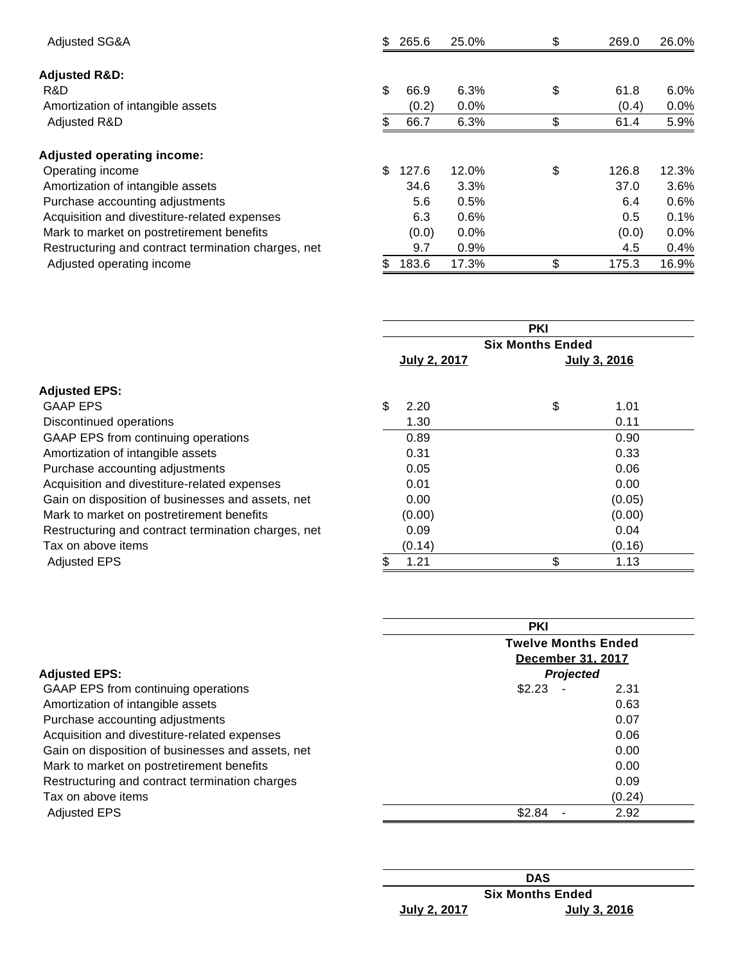| Adjusted SG&A                                       | \$. | 265.6 | 25.0%   | \$<br>269.0 | 26.0%   |
|-----------------------------------------------------|-----|-------|---------|-------------|---------|
| <b>Adjusted R&amp;D:</b>                            |     |       |         |             |         |
| R&D                                                 | \$  | 66.9  | 6.3%    | \$<br>61.8  | $6.0\%$ |
| Amortization of intangible assets                   |     | (0.2) | $0.0\%$ | (0.4)       | $0.0\%$ |
| Adjusted R&D                                        |     | 66.7  | 6.3%    | \$<br>61.4  | 5.9%    |
| <b>Adjusted operating income:</b>                   |     |       |         |             |         |
| Operating income                                    | \$  | 127.6 | 12.0%   | \$<br>126.8 | 12.3%   |
| Amortization of intangible assets                   |     | 34.6  | 3.3%    | 37.0        | $3.6\%$ |
| Purchase accounting adjustments                     |     | 5.6   | 0.5%    | 6.4         | 0.6%    |
| Acquisition and divestiture-related expenses        |     | 6.3   | 0.6%    | 0.5         | 0.1%    |
| Mark to market on postretirement benefits           |     | (0.0) | $0.0\%$ | (0.0)       | $0.0\%$ |
| Restructuring and contract termination charges, net |     | 9.7   | $0.9\%$ | 4.5         | 0.4%    |
| Adjusted operating income                           | \$. | 183.6 | 17.3%   | \$<br>175.3 | 16.9%   |

| <b>PKI</b>              |        |    |              |  |
|-------------------------|--------|----|--------------|--|
| <b>Six Months Ended</b> |        |    |              |  |
| July 2, 2017            |        |    | July 3, 2016 |  |
|                         |        |    |              |  |
| \$                      | 2.20   | \$ | 1.01         |  |
|                         | 1.30   |    | 0.11         |  |
|                         | 0.89   |    | 0.90         |  |
|                         | 0.31   |    | 0.33         |  |
|                         | 0.05   |    | 0.06         |  |
|                         | 0.01   |    | 0.00         |  |
|                         | 0.00   |    | (0.05)       |  |
|                         | (0.00) |    | (0.00)       |  |
|                         | 0.09   |    | 0.04         |  |
|                         | (0.14) |    | (0.16)       |  |
|                         | 1.21   | \$ | 1.13         |  |
|                         |        |    |              |  |

|                                                   | <b>PKI</b><br><b>Twelve Months Ended</b><br><b>December 31, 2017</b> |        |  |  |  |
|---------------------------------------------------|----------------------------------------------------------------------|--------|--|--|--|
|                                                   |                                                                      |        |  |  |  |
| <b>Adjusted EPS:</b>                              | <b>Projected</b>                                                     |        |  |  |  |
| GAAP EPS from continuing operations               | \$2.23                                                               | 2.31   |  |  |  |
| Amortization of intangible assets                 |                                                                      | 0.63   |  |  |  |
| Purchase accounting adjustments                   |                                                                      | 0.07   |  |  |  |
| Acquisition and divestiture-related expenses      |                                                                      | 0.06   |  |  |  |
| Gain on disposition of businesses and assets, net |                                                                      | 0.00   |  |  |  |
| Mark to market on postretirement benefits         |                                                                      | 0.00   |  |  |  |
| Restructuring and contract termination charges    |                                                                      | 0.09   |  |  |  |
| Tax on above items                                |                                                                      | (0.24) |  |  |  |
| <b>Adjusted EPS</b>                               | \$2.84                                                               | 2.92   |  |  |  |

|              | <b>DAS</b>              |
|--------------|-------------------------|
|              | <b>Six Months Ended</b> |
| July 2, 2017 | <u>July 3, 2016</u>     |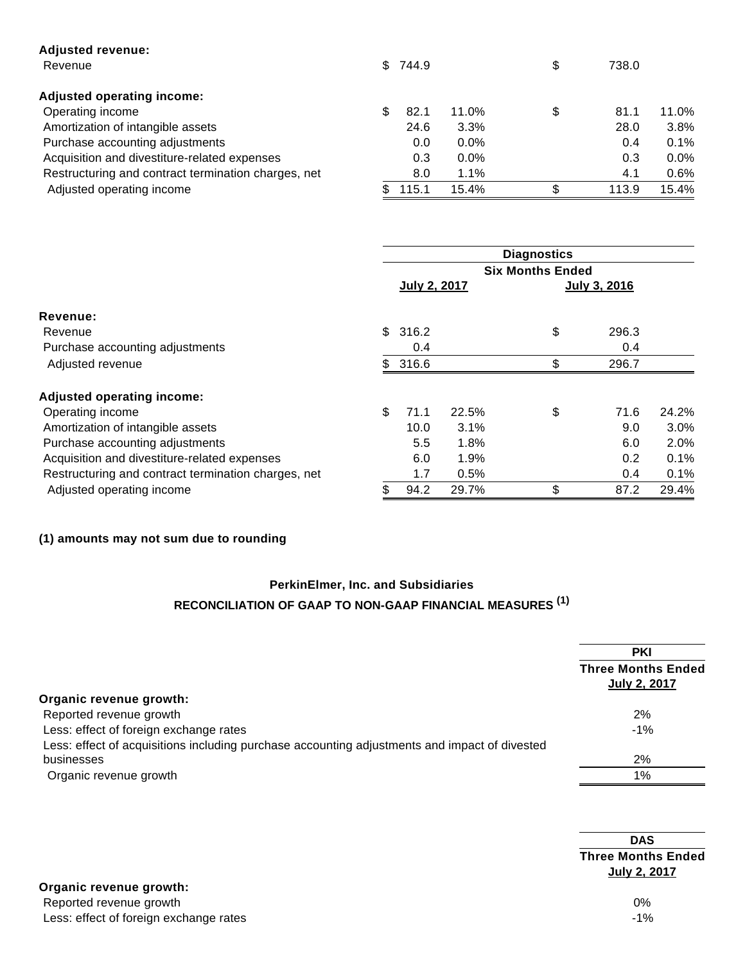| <b>Adjusted revenue:</b>                            |   |         |         |             |         |
|-----------------------------------------------------|---|---------|---------|-------------|---------|
| Revenue                                             |   | \$744.9 |         | \$<br>738.0 |         |
| Adjusted operating income:                          |   |         |         |             |         |
| Operating income                                    | S | 82.1    | 11.0%   | \$<br>81.1  | 11.0%   |
| Amortization of intangible assets                   |   | 24.6    | 3.3%    | 28.0        | 3.8%    |
| Purchase accounting adjustments                     |   | 0.0     | $0.0\%$ | 0.4         | $0.1\%$ |
| Acquisition and divestiture-related expenses        |   | 0.3     | $0.0\%$ | 0.3         | $0.0\%$ |
| Restructuring and contract termination charges, net |   | 8.0     | 1.1%    | 4.1         | $0.6\%$ |
| Adjusted operating income                           |   | 115.1   | 15.4%   | \$<br>113.9 | 15.4%   |

|                                                     | <b>Diagnostics</b> |                         |       |    |               |       |
|-----------------------------------------------------|--------------------|-------------------------|-------|----|---------------|-------|
|                                                     |                    | <b>Six Months Ended</b> |       |    |               |       |
|                                                     |                    | July 2, 2017            |       |    | July 3, 2016  |       |
| Revenue:                                            |                    |                         |       |    |               |       |
| Revenue                                             |                    | \$316.2                 |       | \$ | 296.3         |       |
| Purchase accounting adjustments                     |                    | 0.4                     |       |    | 0.4           |       |
| Adjusted revenue                                    |                    | \$316.6                 |       | \$ | 296.7         |       |
| <b>Adjusted operating income:</b>                   |                    |                         |       |    |               |       |
| Operating income                                    | \$                 | 71.1                    | 22.5% | \$ | 71.6          | 24.2% |
| Amortization of intangible assets                   |                    | 10.0                    | 3.1%  |    | 9.0           | 3.0%  |
| Purchase accounting adjustments                     |                    | 5.5                     | 1.8%  |    | 6.0           | 2.0%  |
| Acquisition and divestiture-related expenses        |                    | 6.0                     | 1.9%  |    | $0.2^{\circ}$ | 0.1%  |
| Restructuring and contract termination charges, net |                    | 1.7                     | 0.5%  |    | 0.4           | 0.1%  |
| Adjusted operating income                           | \$                 | 94.2                    | 29.7% | \$ | 87.2          | 29.4% |

# **(1) amounts may not sum due to rounding**

# **PerkinElmer, Inc. and Subsidiaries RECONCILIATION OF GAAP TO NON-GAAP FINANCIAL MEASURES (1)**

|                                                                                               | <b>PKI</b><br><b>Three Months Ended</b><br><b>July 2, 2017</b> |
|-----------------------------------------------------------------------------------------------|----------------------------------------------------------------|
| Organic revenue growth:                                                                       |                                                                |
| Reported revenue growth                                                                       | 2%                                                             |
| Less: effect of foreign exchange rates                                                        | $-1%$                                                          |
| Less: effect of acquisitions including purchase accounting adjustments and impact of divested |                                                                |
| businesses                                                                                    | 2%                                                             |
| Organic revenue growth                                                                        | 1%                                                             |

|                                        | <b>DAS</b>                                |
|----------------------------------------|-------------------------------------------|
|                                        | <b>Three Months Ended</b><br>July 2, 2017 |
| Organic revenue growth:                |                                           |
| Reported revenue growth                | $0\%$                                     |
| Less: effect of foreign exchange rates | $-1%$                                     |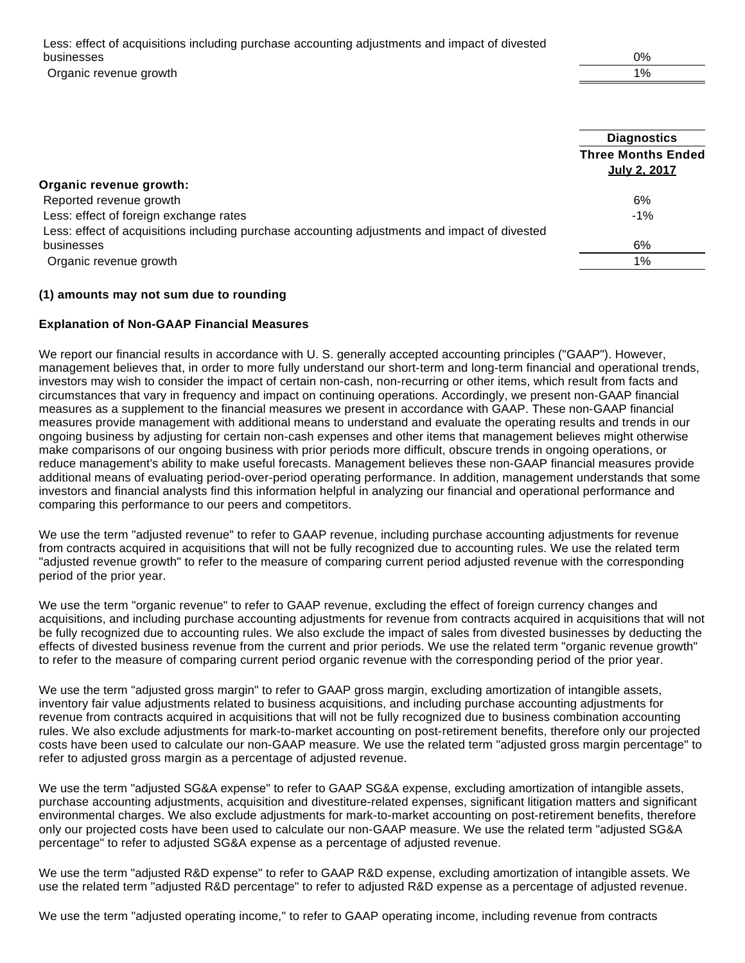Less: effect of acquisitions including purchase accounting adjustments and impact of divested businesses 0% Organic revenue growth the contract of the contract of the contract of the contract of the contract of the contract of the contract of the contract of the contract of the contract of the contract of the contract of the con

|                                                                                               | <b>Diagnostics</b>        |
|-----------------------------------------------------------------------------------------------|---------------------------|
|                                                                                               | <b>Three Months Ended</b> |
|                                                                                               | July 2, 2017              |
| Organic revenue growth:                                                                       |                           |
| Reported revenue growth                                                                       | 6%                        |
| Less: effect of foreign exchange rates                                                        | $-1%$                     |
| Less: effect of acquisitions including purchase accounting adjustments and impact of divested |                           |
| businesses                                                                                    | 6%                        |
| Organic revenue growth                                                                        | $1\%$                     |

#### **(1) amounts may not sum due to rounding**

#### **Explanation of Non-GAAP Financial Measures**

We report our financial results in accordance with U. S. generally accepted accounting principles ("GAAP"). However, management believes that, in order to more fully understand our short-term and long-term financial and operational trends, investors may wish to consider the impact of certain non-cash, non-recurring or other items, which result from facts and circumstances that vary in frequency and impact on continuing operations. Accordingly, we present non-GAAP financial measures as a supplement to the financial measures we present in accordance with GAAP. These non-GAAP financial measures provide management with additional means to understand and evaluate the operating results and trends in our ongoing business by adjusting for certain non-cash expenses and other items that management believes might otherwise make comparisons of our ongoing business with prior periods more difficult, obscure trends in ongoing operations, or reduce management's ability to make useful forecasts. Management believes these non-GAAP financial measures provide additional means of evaluating period-over-period operating performance. In addition, management understands that some investors and financial analysts find this information helpful in analyzing our financial and operational performance and comparing this performance to our peers and competitors.

We use the term "adjusted revenue" to refer to GAAP revenue, including purchase accounting adjustments for revenue from contracts acquired in acquisitions that will not be fully recognized due to accounting rules. We use the related term "adjusted revenue growth" to refer to the measure of comparing current period adjusted revenue with the corresponding period of the prior year.

We use the term "organic revenue" to refer to GAAP revenue, excluding the effect of foreign currency changes and acquisitions, and including purchase accounting adjustments for revenue from contracts acquired in acquisitions that will not be fully recognized due to accounting rules. We also exclude the impact of sales from divested businesses by deducting the effects of divested business revenue from the current and prior periods. We use the related term "organic revenue growth" to refer to the measure of comparing current period organic revenue with the corresponding period of the prior year.

We use the term "adjusted gross margin" to refer to GAAP gross margin, excluding amortization of intangible assets, inventory fair value adjustments related to business acquisitions, and including purchase accounting adjustments for revenue from contracts acquired in acquisitions that will not be fully recognized due to business combination accounting rules. We also exclude adjustments for mark-to-market accounting on post-retirement benefits, therefore only our projected costs have been used to calculate our non-GAAP measure. We use the related term "adjusted gross margin percentage" to refer to adjusted gross margin as a percentage of adjusted revenue.

We use the term "adjusted SG&A expense" to refer to GAAP SG&A expense, excluding amortization of intangible assets, purchase accounting adjustments, acquisition and divestiture-related expenses, significant litigation matters and significant environmental charges. We also exclude adjustments for mark-to-market accounting on post-retirement benefits, therefore only our projected costs have been used to calculate our non-GAAP measure. We use the related term "adjusted SG&A percentage" to refer to adjusted SG&A expense as a percentage of adjusted revenue.

We use the term "adjusted R&D expense" to refer to GAAP R&D expense, excluding amortization of intangible assets. We use the related term "adjusted R&D percentage" to refer to adjusted R&D expense as a percentage of adjusted revenue.

We use the term "adjusted operating income," to refer to GAAP operating income, including revenue from contracts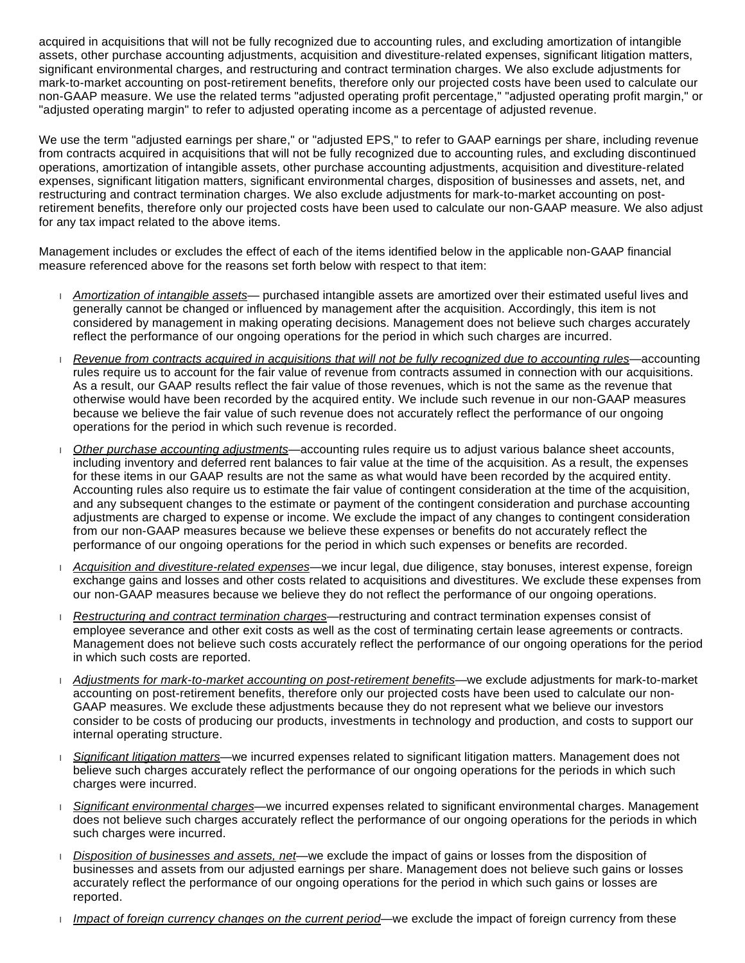acquired in acquisitions that will not be fully recognized due to accounting rules, and excluding amortization of intangible assets, other purchase accounting adjustments, acquisition and divestiture-related expenses, significant litigation matters, significant environmental charges, and restructuring and contract termination charges. We also exclude adjustments for mark-to-market accounting on post-retirement benefits, therefore only our projected costs have been used to calculate our non-GAAP measure. We use the related terms "adjusted operating profit percentage," "adjusted operating profit margin," or "adjusted operating margin" to refer to adjusted operating income as a percentage of adjusted revenue.

We use the term "adjusted earnings per share," or "adjusted EPS," to refer to GAAP earnings per share, including revenue from contracts acquired in acquisitions that will not be fully recognized due to accounting rules, and excluding discontinued operations, amortization of intangible assets, other purchase accounting adjustments, acquisition and divestiture-related expenses, significant litigation matters, significant environmental charges, disposition of businesses and assets, net, and restructuring and contract termination charges. We also exclude adjustments for mark-to-market accounting on postretirement benefits, therefore only our projected costs have been used to calculate our non-GAAP measure. We also adjust for any tax impact related to the above items.

Management includes or excludes the effect of each of the items identified below in the applicable non-GAAP financial measure referenced above for the reasons set forth below with respect to that item:

- Amortization of intangible assets— purchased intangible assets are amortized over their estimated useful lives and generally cannot be changed or influenced by management after the acquisition. Accordingly, this item is not considered by management in making operating decisions. Management does not believe such charges accurately reflect the performance of our ongoing operations for the period in which such charges are incurred.
- Revenue from contracts acquired in acquisitions that will not be fully recognized due to accounting rules—accounting rules require us to account for the fair value of revenue from contracts assumed in connection with our acquisitions. As a result, our GAAP results reflect the fair value of those revenues, which is not the same as the revenue that otherwise would have been recorded by the acquired entity. We include such revenue in our non-GAAP measures because we believe the fair value of such revenue does not accurately reflect the performance of our ongoing operations for the period in which such revenue is recorded.
- Other purchase accounting adjustments—accounting rules require us to adjust various balance sheet accounts, including inventory and deferred rent balances to fair value at the time of the acquisition. As a result, the expenses for these items in our GAAP results are not the same as what would have been recorded by the acquired entity. Accounting rules also require us to estimate the fair value of contingent consideration at the time of the acquisition, and any subsequent changes to the estimate or payment of the contingent consideration and purchase accounting adjustments are charged to expense or income. We exclude the impact of any changes to contingent consideration from our non-GAAP measures because we believe these expenses or benefits do not accurately reflect the performance of our ongoing operations for the period in which such expenses or benefits are recorded.
- Acquisition and divestiture-related expenses—we incur legal, due diligence, stay bonuses, interest expense, foreign exchange gains and losses and other costs related to acquisitions and divestitures. We exclude these expenses from our non-GAAP measures because we believe they do not reflect the performance of our ongoing operations.
- Restructuring and contract termination charges—restructuring and contract termination expenses consist of employee severance and other exit costs as well as the cost of terminating certain lease agreements or contracts. Management does not believe such costs accurately reflect the performance of our ongoing operations for the period in which such costs are reported.
- Adjustments for mark-to-market accounting on post-retirement benefits—we exclude adjustments for mark-to-market accounting on post-retirement benefits, therefore only our projected costs have been used to calculate our non-GAAP measures. We exclude these adjustments because they do not represent what we believe our investors consider to be costs of producing our products, investments in technology and production, and costs to support our internal operating structure.
- Significant litigation matters—we incurred expenses related to significant litigation matters. Management does not believe such charges accurately reflect the performance of our ongoing operations for the periods in which such charges were incurred.
- Significant environmental charges—we incurred expenses related to significant environmental charges. Management does not believe such charges accurately reflect the performance of our ongoing operations for the periods in which such charges were incurred.
- Disposition of businesses and assets, net—we exclude the impact of gains or losses from the disposition of businesses and assets from our adjusted earnings per share. Management does not believe such gains or losses accurately reflect the performance of our ongoing operations for the period in which such gains or losses are reported.
- Impact of foreign currency changes on the current period—we exclude the impact of foreign currency from these